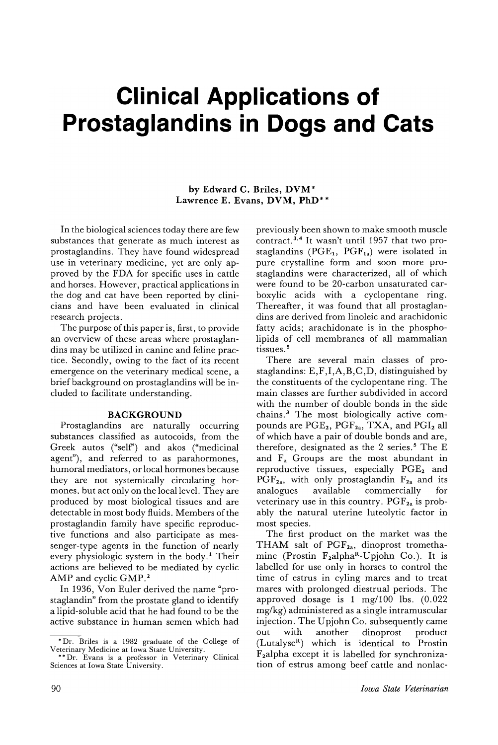# **Clinical Applications of Prostaglandins in Dogs and Cats**

# by Edward C. Briles, DVM\* Lawrence E. Evans, DVM, PhD\*\*

In the biological sciences today there are few substances that generate as much interest as prostaglandins. They have found widespread use in veterinary medicine, yet are only approved by the FDA for specific uses in cattle and horses. However, practical applications in the dog and cat have been reported by clinicians and have been evaluated in clinical research projects.

The purpose of this paper is, first, to provide an overview of these areas where prostaglandins may be utilized in canine and feline practice. Secondly, owing to the fact of its recent emergence on the veterinary medical scene, a brief background on prostaglandins will be ineluded to facilitate understanding.

# BACKGROUND

Prostaglandins are naturally occurring substances classified as autocoids, from the Greek autos ("self') and akos ("medicinal agent"), and referred to as parahormones, humoral mediators, or local hormones because they are not systemically circulating hormones, but act only on the local level. They are produced by most biological tissues and are detectable in most body fluids. Members of the prostaglandin family have specific reproductive functions and also participate as messenger-type agents in the function of nearly every physiologic system in the body.<sup>1</sup> Their actions are believed to be mediated by cyclic AMP and cyclic GMP.<sup>2</sup>

In 1936, Von Euler derived the name "prostaglandin" from the prostate gland to identify a lipid-soluble acid that he had found to be the active substance in human semen which had previously been shown to make smooth muscle contract.<sup>3,4</sup> It wasn't until 1957 that two prostaglandins ( $PGE_1$ ,  $PGF_{1a}$ ) were isolated in pure crystalline form and soon more prostaglandins were characterized, all of which were found to be 20-carbon unsaturated carboxylic acids with a cyclopentane ring. Thereafter, it was found that all prostaglandins are derived from linoleic and arachidonic fatty acids; arachidonate is in the phospholipids of cell membranes of all mammalian tissues. <sup>5</sup>

There are several main classes of prostaglandins: E,F,I,A,B,C,D, distinguished by the constituents of the cyclopentane ring. The main classes are further subdivided in accord with the number of double bonds in the side chains. <sup>3</sup> The most biologically active compounds are PGE<sub>2</sub>, PGF<sub>2a</sub>, TXA, and PGI<sub>2</sub> all of which have a pair of double bonds and are, therefore, designated as the 2 series.<sup>5</sup> The E and Fa Groups are the most abundant in reproductive tissues, especially  $PGE<sub>2</sub>$  and  $PGF_{2a}$ , with only prostaglandin  $F_{2a}$  and its analogues available commercially for analogues available commercially for veterinary use in this country.  $PGF_{2a}$  is probably the natural uterine luteolytic factor in most species.

The first product on the market was the THAM salt of  $PGF_{2a}$ , dinoprost tromethamine (Prostin  $F_2$ alpha<sup>R</sup>-Upjohn Co.). It is labelled for use only in horses to control the time of estrus in cyling mares and to treat mares with prolonged diestrual periods. The approved dosage is 1 mg/l00 lbs. (0.022 mg/kg) administered as a single intramuscular injection. The Upjohn Co. subsequently came out with another dinoprost product  $(Lutalyse<sup>R</sup>)$  which is identical to Prostin F2alpha except it is labelled for synchronization of estrus among beef cattle and nonlac-

<sup>\*</sup>Dr. Briles is a 1982 graduate of the College of Veterinary Medicine at Iowa State University. \*\*Dr. Evans is a professor in Veterinary Clinical

Sciences at Iowa State University.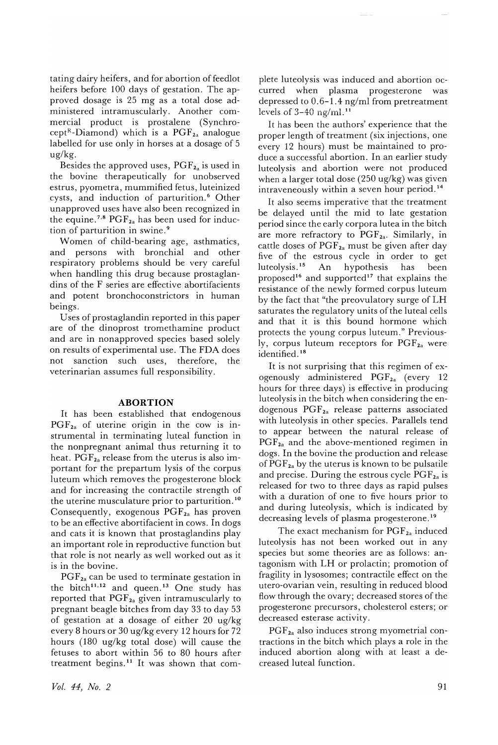tating dairy heifers, and for abortion of feedlot heifers before 100 days of gestation. The approved dosage is 25 mg as a total dose administered intramuscularly. Another commercial product is prostalene (Synchrocept<sup>R</sup>-Diamond) which is a  $PGF_{2a}$  analogue labelled for use only in horses at a dosage of 5 ug/kg.

Besides the approved uses,  $PGF_{2a}$  is used in the bovine therapeutically for unobserved estrus, pyometra, mummified fetus, luteinized cysts, and induction of parturition. <sup>6</sup> Other unapproved uses have also been recognized in the equine.<sup>7,8</sup>  $PGF_{2a}$  has been used for induction of parturition in swine. <sup>9</sup>

Women of child-bearing age, asthmatics, and persons with bronchial and other respiratory problems should be very careful when handling this drug because prostaglandins of the F series are effective abortifacients and potent bronchoconstrictors in human beings.

Uses of prostaglandin reported in this paper are of the dinoprost tromethamine product and are in nonapproved species based solely on results of experimental use. The FDA does not sanction such uses, therefore, the veterinarian assumes full responsibility.

#### **ABORTION**

It has been established that endogenous  $PGF_{2a}$  of uterine origin in the cow is instrumental in terminating luteal function in the nonpregnant animal thus returning it to heat.  $PGF_{2a}$  release from the uterus is also important for the prepartum lysis of the corpus luteum which removes the progesterone block and for increasing the contractile strength of the uterine musculature prior to parturition. <sup>10</sup> Consequently, exogenous  $\text{PGF}_{2a}$  has proven to be an effective abortifacient in cows. In dogs and cats it is known that prostaglandins play an important role in reproductive function but that role is not nearly as well worked out as it is in the bovine.

PGF<sub>2a</sub> can be used to terminate gestation in the bitch<sup>11,12</sup> and queen.<sup>13</sup> One study has reported that  $PGF_{2a}$  given intramuscularly to pregnant beagle bitches from day 33 to day 53 of gestation at a dosage of either 20 ug/kg every 8 hours or 30 ug/kg every 12 hours for 72 hours (180 ug/kg total dose) will cause the fetuses to abort within 56 to 80 hours after treatment begins.<sup>11</sup> It was shown that complete luteolysis was induced and abortion occurred when plasma progesterone was depressed to 0.6-1.4 ng/ml from pretreatment levels of  $3-40$  ng/ml.<sup>11</sup>

It has been the authors' experience that the proper length of treatment (six injections, one every 12 hours) must be maintained to produce a successful abortion. In an earlier study luteolysis and abortion were not produced when a larger total dose (250 ug/kg) was given intraveneously within a seven hour period. <sup>14</sup>

It also seems imperative that the treatment be delayed until the mid to late gestation period since the early corpora lutea in the bitch are more refractory to  $PGF_{2a}$ . Similarly, in cattle doses of  $PGF_{2a}$  must be given after day five of the estrous cycle in order to get<br>luteolysis.<sup>15</sup> An hypothesis has been An hypothesis has been proposed<sup>16</sup> and supported<sup>17</sup> that explains the resistance of the newly formed corpus luteum by the fact that "the preovulatory surge of LH saturates the regulatory units of the luteal cells and that it is this bound hormone which protects the young corpus luteum." Previously, corpus luteum receptors for  $\text{PGF}_{2a}$  were identified. <sup>18</sup>

It is not surprising that this regimen of exogenously administered  $PGF_{2a}$  (every 12) hours for three days) is effective in producing luteolysis in the bitch when considering the endogenous  $PGF_{2a}$  release patterns associated with luteolysis in other species. Parallels tend to appear between the natural release of  $PGF_{2a}$  and the above-mentioned regimen in dogs. In the bovine the production and release of  $PGF_{2a}$  by the uterus is known to be pulsatile and precise. During the estrous cycle  $PGF_{2a}$  is released for two to three days as rapid pulses with a duration of one to five hours prior to and during luteolysis, which is indicated by decreasing levels of plasma progesterone. <sup>19</sup>

The exact mechanism for  $PGF_{2a}$  induced luteolysis has not been worked out in any species but some theories are as follows: antagonism with LH or prolactin; promotion of fragility in lysosomes; contractile effect on the utero-ovarian vein, resulting in reduced blood flow through the ovary; decreased stores of the progesterone precursors, cholesterol esters; or decreased esterase activity.

 $PGF_{2a}$  also induces strong myometrial contractions in the bitch which plays a role in the induced abortion along with at least a decreased luteal function.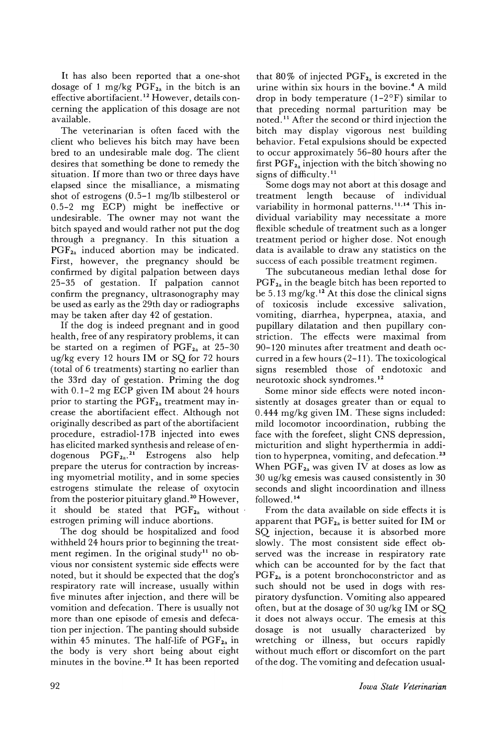It has also been reported that a one-shot dosage of 1 mg/kg  $PGF_{2a}$  in the bitch is an effective abortifacient. <sup>12</sup> However, details concerning the application of this dosage are not available.

The veterinarian is often faced with the client who believes his bitch may have been bred to an undesirable male dog. The client desires that something be done to remedy the situation. If more than two or three days have elapsed since the misalliance, a mismating shot of estrogens (0.5-1 mg/lb stilbesterol or 0.5-2 mg ECP) might be ineffective or undesirable. The owner may not want the bitch spayed and would rather not put the dog through a pregnancy. In this situation a  $PGF_{2a}$  induced abortion may be indicated. First, however, the pregnancy should be confirmed by digital palpation between days 25-35 of gestation. If palpation cannot confirm the pregnancy, ultrasonography may be used as early as the 29th day or radiographs may be taken after day 42 of gestation.

If the dog is indeed pregnant and in good health, free of any respiratory problems, it can be started on a regimen of  $PGF_{2a}$  at 25-30 ug/kg every 12 hours 1M or SQ for 72 hours (total of 6 treatments) starting no earlier than the 33rd day of gestation. Priming the dog with 0.1-2 mg ECP given 1M about 24 hours prior to starting the  $\text{PGF}_{2a}$  treatment may increase the abortifacient effect. Although not originally described as part of the abortifacient procedure, estradiol-17B injected into ewes has elicited marked synthesis and release of endogenous  $PGF_{2a}^{21}$  Estrogens also help prepare the uterus for contraction by increasing myometrial motility, and in some species estrogens stimulate the release of oxytocin from the posterior pituitary gland. <sup>20</sup> However, it should be stated that  $PGF_{2a}$  without estrogen priming will induce abortions.

The dog should be hospitalized and food withheld 24 hours prior to beginning the treatment regimen. In the original study<sup>11</sup> no obvious nor consistent systemic side effects were noted, but it should be expected that the dog's respiratory rate will increase, usually within five minutes after injection, and there will be vomition and defecation. There is usually not more than one episode of emesis and defecation per injection. The panting should subside within 45 minutes. The half-life of  $PGF_{2a}$  in the body is very short being about eight minutes in the bovine. <sup>22</sup> It has been reported

that 80% of injected  $PGF_{2a}$  is excreted in the urine within six hours in the bovine. <sup>4</sup> A mild drop in body temperature  $(1-2^{\circ}F)$  similar to that preceding normal parturition may be noted. <sup>11</sup> After the second or third injection the bitch may display vigorous nest building behavior. Fetal expulsions should be expected to occur approximately 56-80 hours after the first  $PGF_{2a}$  injection with the bitch showing no signs of difficulty.<sup>11</sup>

Some dogs may not abort at this dosage and treatment length because of individual variability in hormonal patterns.<sup>11,14</sup> This individual variability may necessitate a more flexible schedule of treatment such as a longer treatment period or higher dose. Not enough data is available to draw any statistics on the success of each possible treatment regimen.

The subcutaneous median lethal dose for  $PGF_{2a}$  in the beagle bitch has been reported to be  $5.13 \text{ mg/kg}.$ <sup>12</sup> At this dose the clinical signs of toxicosis include excessive salivation, vomiting, diarrhea, hyperpnea, ataxia, and pupillary dilatation and then pupillary constriction. The effects were maximal from 90-120 minutes after treatment and death occurred in a few hours (2-11). The toxicological signs resembled those of endotoxic and neurotoxic shock syndromes. <sup>12</sup>

Some minor side effects were noted inconsistently at dosages greater than or equal to 0.444 mg/kg given 1M. These signs included: mild locomotor incoordination, rubbing the face wjth the forefeet, slight CNS depression, micturition and slight hyperthermia in addition to hyperpnea, vomiting, and defecation. <sup>23</sup> When  $PGF_{2a}$  was given IV at doses as low as 30 ug/kg emesis was caused consistently in 30 seconds and slight incoordination and illness followed. <sup>14</sup>

From the data available on side effects it is apparent that  $PGF_{2a}$  is better suited for IM or SQ injection, because it is absorbed more slowly. The most consistent side effect observed was the increase in respiratory rate which can be accounted for by the fact that  $PGF_{2a}$  is a potent bronchoconstrictor and as such should not be used in dogs with respiratory dysfunction. Vomiting also appeared often, but at the dosage of 30 ug/kg 1M or SQ it does not always occur. The emesis at this dosage is not usually characterized by wretching or illness, but occurs rapidly without much effort or discomfort on the part of the dog. The vomiting and defecation usual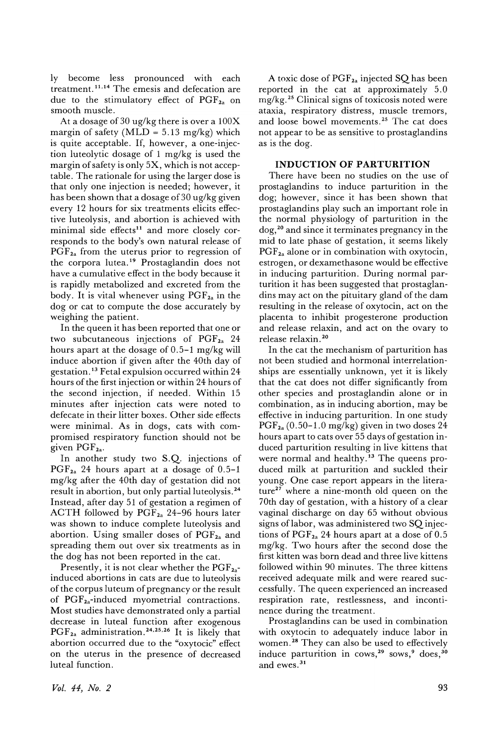ly become less pronounced with each treatment. 11,14 The emesis and defecation are due to the stimulatory effect of  $PGF_{2a}$  on smooth muscle.

At a dosage of 30 ug/kg there is over a 100X margin of safety (MLD =  $5.13$  mg/kg) which is quite acceptable. If, however, a one-injection luteolytic dosage of 1 mg/kg is used the margin of safety is only 5X, which is not acceptable. The rationale for using the larger dose is that only one injection is needed; however, it has been shown that a dosage of 30 ug/kg given every 12 hours for six treatments elicits effective luteolysis, and abortion is achieved with minimal side effects<sup>11</sup> and more closely corresponds to the body's own natural release of  $PGF_{2a}$  from the uterus prior to regression of the corpora lutea. <sup>19</sup> Prostaglandin does not have a cumulative effect in the body because it is rapidly metabolized and excreted from the body. It is vital whenever using  $PGF_{2a}$  in the dog or cat to compute the dose accurately by weighing the patient.

In the queen it has been reported that one or two subcutaneous injections of  $PGF_{2a}$  24 hours apart at the dosage of 0.5-1 mg/kg will induce abortion if given after the 40th day of gestation. <sup>13</sup> Fetal expulsion occurred within 24 hours of the first injection or within 24 hours of the second injection, if needed. Within 15 minutes after injection cats were noted to defecate in their litter boxes. Other side effects were minimal. As in dogs, cats with compromised respiratory function should not be given  $\text{PGF}_{2a}$ .

In another study two S.Q. injections of  $PGF_{2a}$  24 hours apart at a dosage of 0.5-1 mg/kg after the 40th day of gestation did not result in abortion, but only partial luteolysis.<sup>24</sup> Instead, after day 51 of gestation a regimen of ACTH followed by  $PGF_{2a}$  24-96 hours later was shown to induce complete luteolysis and abortion. Using smaller doses of  $PGF_{2a}$  and spreading them out over six treatments as in the dog has not been reported in the cat.

Presently, it is not clear whether the  $PGF_{2a}$ induced abortions in cats are due to luteolysis of the corpus luteum of pregnancy or the result of  $PGF_{2a}$ -induced myometrial contractions. Most studies have demonstrated only a partial decrease in luteal function after exogenous  $PGF_{2a}$  administration.<sup>24,25,26</sup> It is likely that abortion occurred due to the "oxytocic" effect on the uterus in the presence of decreased luteal function.

A toxic dose of PGF<sub>2a</sub> injected SQ has been reported in the cat at approximately 5.0 mg/kg. <sup>25</sup> Clinical signs of toxicosis noted were ataxia, respiratory distress, muscle tremors, and loose bowel movements. <sup>25</sup> The cat does not appear to be as sensitive to prostaglandins as is the dog.

## **INDUCTION OF PARTURITION**

There have been no studies on the use of prostaglandins to induce parturition in the dog; however, since it has been shown that prostaglandins play such an important role in the normal physiology of parturition in the dog,2° and since it terminates pregnancy in the mid to late phase of gestation, it seems likely  $PGF_{2a}$  alone or in combination with oxytocin, estrogen, or dexamethasone would be effective in inducing parturition. During normal parturition it has been suggested that prostaglandins may act on the pituitary gland of the dam resulting in the release of oxytocin, act on the placenta to inhibit progesterone production and release relaxin, and act on the ovary to release relaxin. 20

In the cat the mechanism of parturition has not been studied and hormonal interrelationships are essentially unknown, yet it is likely that the cat does not differ significantly from other species and prostaglandin alone or in combination, as in inducing abortion, may be effective in inducing parturition. In one study  $PGF_{2a}$  (0.50-1.0 mg/kg) given in two doses 24 hours apart to cats over 55 days of gestation induced parturition resulting in live kittens that were normal and healthy.<sup>13</sup> The queens produced milk at parturition and suckled their young. One case report appears in the literature $^{27}$  where a nine-month old queen on the 70th day of gestation, with a history of a clear vaginal discharge on day 65 without obvious signs of labor, was administered two SQ injections of  $PGF_{2a}$  24 hours apart at a dose of 0.5 mg/kg. Two hours after the second dose the first kitten was born dead and three live kittens followed within 90 minutes. The three kittens received adequate milk and were reared successfully. The queen experienced an increased respiration rate, restlessness, and incontinence during the treatment.

Prostaglandins can be used in combination with oxytocin to adequately induce labor in women. <sup>28</sup> They can also be used to effectively induce parturition in cows,<sup>29</sup> sows,<sup>9</sup> does,<sup>30</sup> and ewes. <sup>31</sup>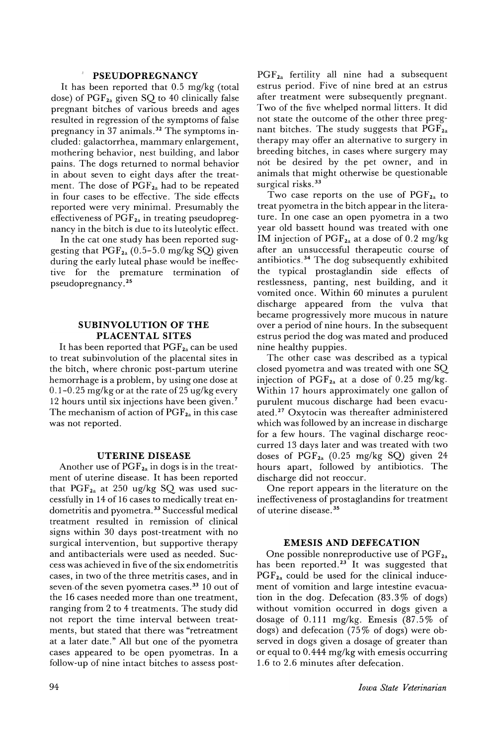## **PSEUDOPREGNANCY**

It has been reported that 0.5 mg/kg (total dose) of  $PGF_{2a}$  given SQ to 40 clinically false pregnant bitches of various breeds and ages resulted in regression of the symptoms of false pregnancy in 37 animals. <sup>32</sup> The symptoms included: galactorrhea, mammary enlargement, mothering behavior, nest building, and labor pains. The dogs returned to normal behavior in about seven to eight days after the treatment. The dose of  $PGF_{2a}$  had to be repeated in four cases to be effective. The side effects reported were very minimal. Presumably the effectiveness of PGF<sub>2a</sub> in treating pseudopregnancy in the bitch is due to its luteolytic effect.

In the cat one study has been reported suggesting that  $PGF_{2a}$  (0.5-5.0 mg/kg SQ) given during the early luteal phase would be ineffective for the premature termination of pseudopregnancy.25

# **SUBINVOLUTION OF THE PLACENTAL SITES**

It has been reported that  $PGF_{2a}$  can be used to treat subinvolution of the placental sites in the bitch, where chronic post-partum uterine hemorrhage is a problem, by using one dose at 0.1-0.25 mg/kg or at the rate of 25 ug/kg every 12 hours until six injections have been given. 7 The mechanism of action of  $PGF_{2a}$  in this case was not reported.

### **UTERINE DISEASE**

Another use of  $PGF_{2a}$  in dogs is in the treatment of uterine disease. It has been reported that  $PGF_{2a}$  at 250 ug/kg SQ was used successfully in 14 of 16 cases to medically treat-endometritis and pyometra.<sup>33</sup> Successful medical treatment resulted in remission of clinical signs within 30 days post-treatment with no surgical intervention, but supportive therapy and antibacterials were used as needed. Success was achieved in five of the six endometritis cases, in two of the three metritis cases, and in seven-of the seven pyometra cases.<sup>33</sup> 10 out of the 16 cases needed more than one treatment, ranging from 2 to 4 treatments. The study did not report the time interval between treatments, but stated that there was "retreatment at a later date." All but one of the pyometra cases appeared to be open pyometras. In a follow-up of nine intact bitches to assess postPGF2a fertility all nine had a subsequent estrus period. Five of nine bred at an estrus after treatment were subsequently pregnant. Two of the five whelped normal litters. It did not state the outcome of the other three pregnant bitches. The study suggests that PGF<sub>2a</sub> therapy may offer an alternative to surgery in breeding bitches, in cases where surgery may not be desired by the pet owner, and in animals that might otherwise be questionable surgical risks.<sup>33</sup>

Two case reports on the use of PGF<sub>2a</sub> to treat pyometra in the bitch appear in the literature. In one case an open pyometra in a two year old bassett hound was treated with one IM injection of  $PGF_{2a}$  at a dose of 0.2 mg/kg after an unsuccessful therapeutic course of antibiotics. <sup>34</sup> The dog subsequently exhibited the typical prostaglandin side effects of restlessness, panting, nest building, and it vomited once. Within 60 minutes a purulent discharge appeared from the vulva that became progressively more mucous in nature over a period of nine hours. In the subsequent estrus period the dog was mated and produced nine healthy puppies.

The other case was described as a typical closed pyometra and was treated with one SQ injection of  $PGF_{2a}$  at a dose of 0.25 mg/kg. Within 17 hours approximately one gallon of purulent mucous discharge had been evacuated.<sup>27</sup> Oxytocin was thereafter administered which was followed by an increase in discharge for a few hours. The vaginal discharge reoccurred 13 days later and was treated with two doses of  $PGF_{2a}$  (0.25 mg/kg SQ) given 24 hours apart, followed by antibiotics. The discharge did not reoccur.

One report appears in the literature on the ineffectiveness of prostaglandins for treatment of uterine disease. <sup>35</sup>

## **EMESIS AND DEFECATION**

One possible nonreproductive use of  $PGF_{2a}$ has been reported.<sup>23</sup> It was suggested that  $PGF_{2a}$  could be used for the clinical inducement of vomition and large intestine evacuation in the dog. Defecation (83.3% of dogs) without vomition occurred in dogs given a dosage of 0.111 mg/kg. Emesis (87.5% of dogs) and defecation (75% of dogs) were observed in dogs given a dosage of greater than or equal to 0.444 mg/kg with emesis occurring 1.6 to 2.6 minutes after defecation.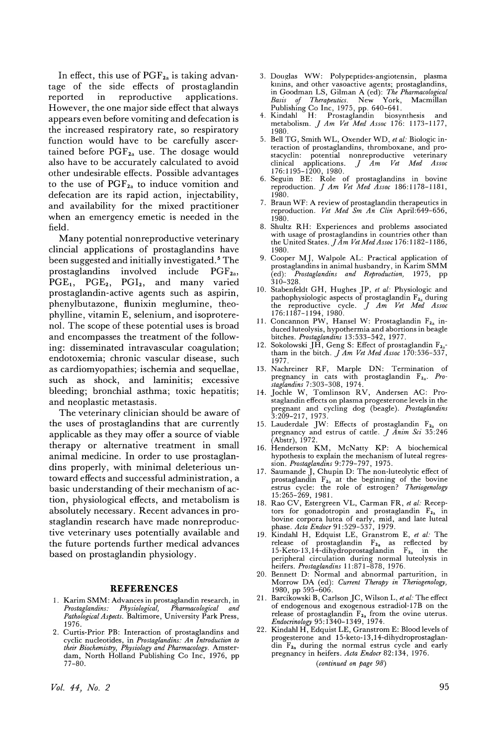In effect, this use of  $\mathrm{PGF}_{2a}$  is taking advantage of the side effects of prostaglandin reported in reproductive applications. However, the one major side effect that always appears even before vomiting and defecation is the increased respiratory rate, so respiratory function would have to be carefully ascertained before  $PGF_{2a}$  use. The dosage would also have to be accurately calculated to avoid other undesirable effects. Possible advantages to the use of  $PGF_{2a}$  to induce vomition and defecation are its rapid action, injectability, and availability for the mixed practitioner when an emergency emetic is needed in the field.

Many potential nonreproductive veterinary clincial applications of prostaglandins have been suggested and initially investigated. <sup>5</sup> The prostaglandins involved include  $PGF_{2a}$ ,  $PGE_1$ ,  $PGE_2$ ,  $PGI_2$ , and many varied prostaglandin-active agents such as aspirin, phenylbutazone, flunixin meglumine, theophylline, vitamin E, selenium, and isoproterenol. The scope of these potential uses is broad and encompasses the treatment of the following: disseminated intravascular coagulation; endotoxemia; chronic vascular disease, such as cardiomyopathies; ischemia and sequellae, such as shock, and laminitis; excessive bleeding; bronchial asthma; toxic hepatitis; and neoplastic metastasis.

The veterinary clinician should be aware of the uses of prostaglandins that are currently applicable as they may offer a source of viable therapy or alternative treatment in small animal medicine. In order to use prostaglandins properly, with minimal deleterious untoward effects and successful administration, a basic understanding of their mechanism of action, physiological effects, and metabolism is absolutely necessary. Recent advances in prostaglandin research have made nonreproductive veterinary uses potentially available and the future portends further medical advances based on prostaglandin physiology.

#### **REFERENCES**

- 1. Karim SMM: Advances in prostaglandin research, in *Prostaglandins: Physiological) Pharmacological and Pathological Aspects.* Baltimore, University Park Press, 1976.
- 2. Curtis-Prior. PB: Interaction of prostaglandins and cyclic nucleotides, in *Prostaglandins: An Introduction to their Biochemistry) Physiology and Pharmacology.* Amsterdam, North Holland Publishing Co Inc, 1976, pp 77-80.
- 3. Douglas WW: Polypeptides-angiotensin, plasma kinins, and other vasoactive agents; prostaglandins, in Goodman LS, Gilman A (ed): *The Pharmacological Basis of Therapeutics.* New York, Macmillan Publishing Co Inc, 1975, pp. 640-641. 4. Kindahl H: Prostaglandin biosynthesis and
- metabolism. *J Am Vet Med Assoc* 176: 1173-1177, 1980.
- 5. Bell TG, Smith WL, Oxender WD, *et al:* Biologic interaction of prostaglandins, thromboxane, and prostacyclin: potential nonreproductive veterinary<br>clinical applications.  $J$  Am Vet Med Assoc clinical applications. *J Am Vet Med Assoc* 176:1195-1200,1980.
- 6. Seguin BE: Role of prostaglandins in bovine reproduction. *J Am Vet Med Assoc* 186:1178-1181, 1980.
- 7. Braun WF: A review of prostaglandin therapeutics in reproduction. *Vet Med Sm An Clin* April:649-656, 1980.
- 8. Shultz RH: Experiences and problems associated with usage of prostaglandins in countries other than the United States. *JAm Vet MedAssoc* 176: 1182-1186, 1980.
- 9. Cooper Mj, Walpole AL: Practical application of prostaglandins in animal husbandry, in Karim SMM<br>(ed): Prostaglandins and Reproduction, 1975, pp  $Prestaglandins$  *and Reproduction*, 1975, pp 310-328.
- 10. Stabenfeldt GH, Hughes jP, *et al:* Physiologic and pathophysiologic aspects of prostaglandin  $F_{2a}$  during the reproductive cycle. *J Am Vet Med Assoc*
- 176:1187–1194, 1980.<br>11. Concannon PW, Hansel W: Prostaglandin  $F_{\mathbf{2a}}$  induced luteolysis, hypothermia and abortions in beagle bitches. *Prostaglandins* 13:533-542, 1977.
- Sokolowski JH, Geng S: Effect of prostaglandin  $F_{2a}$ tham in the bitch. *J Am Vet Med Assoc* 170:536-537, 1977.
- 13. Nachreiner RF, Marple DN: Termination of pregnancy in cats with prostaglandin F2a' *Pro-staglandins* 7:303-308, 1974.
- 14. jochle W, Tomlinson RV, Andersen AC: Prostaglandin effects on plasma progesterone levels in the pregnant and cycling dog (beagle). *Prostaglandins* 3:209-217, 1973.
- 15. Lauderdale JW: Effects of prostaglandin  $F_{2a}$  on pregnancy and estrus of cattle. *J Anim Sci 35:246* (Abstr), 1972.
- 16. Henderson KM, McNatty KP: A biochemical hypothesis to explain the mechanism of luteal regression. *Prostaglandins* 9:779-797, 1975.
- 17. Saumande j, Chupin D: The non-luteolytic effect of prostaglandin  $F_{2a}$  at the beginning of the bovine ,estrus cycle: the role of estrogen? *Theriogenology* 15:265-269, 1981.
- 18. Rao CV, Estergreen VL, Carman FR, *et al:* Receptors for gonadotropin and prostaglandin F<sub>2a</sub> in<br>bovine corpora lutea of early, mid, and late luteal<br>phase. *Acta Endocr* 91:529-537, 1979.<br>19. Kindahl H, Edquist LE, Granstrom E, *et al:* The
- release of prostaglandin F<sub>2a</sub> as reflected by<br>15-Keto-13,14-dihydroprostaglandin F<sub>2a</sub> in the peripheral circulation during normal luteolysis in heifers. *Prostaglandins* 11:871-878, 1976.
- 20. Bennett D: Normal and abnormal parturition, in Morrow DA (ed): *Current Therapy in Theriogen*<sup>0</sup> *logy,* 1980, pp 595-606.
- 21. Barcikowski B, Carlson jC, Wilson L, *et al:* The effect of endogenous and exogenous estradiol-17B on the release of prostaglandin  $F_{2a}$  from the ovine uterus. *Endocrinology* 95: 1340-1349, 1974.
- 22. Kindahl H, Edquist LE, Granstrom E: Blood levels of progesterone and 15-keto-13, 14-dihydroprostaglan- $\dim$   $F_{2a}$  during the normal estrus cycle and early pregnancy in heifers. *Acta Endocr* 82: 134, 1976. *(continued on page* 98)